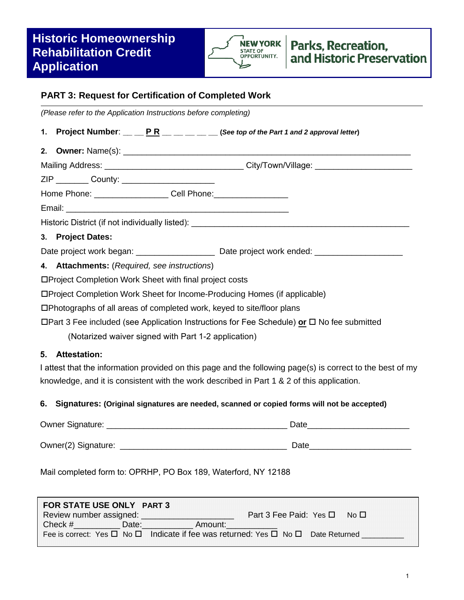# **Historic Homeownership Rehabilitation Credit Application**



## **PART 3: Request for Certification of Completed Work**

*(Please refer to the Application Instructions before completing)*

- **1. Project Number**:  $\underline{\qquad}$  **P R**  $\underline{\qquad}$   $\qquad \qquad$   $\underline{\qquad}$  (See top of the Part 1 and 2 approval letter)
- **2. Owner:** Name(s):

Mailing Address: \_\_\_\_\_\_\_\_\_\_\_\_\_\_\_\_\_\_\_\_\_\_\_\_\_\_\_\_\_\_ City/Town/Village: \_\_\_\_\_\_\_\_\_\_\_\_\_\_\_\_\_\_\_\_\_

ZIP County:

Home Phone: \_\_\_\_\_\_\_\_\_\_\_\_\_\_\_\_\_\_\_\_\_ Cell Phone: \_\_\_\_\_\_\_\_\_\_\_\_\_\_\_\_\_\_\_\_\_\_\_\_\_\_\_\_\_\_\_\_\_\_

Email: \_\_\_\_\_\_\_\_\_\_\_\_\_\_\_\_\_\_\_\_\_\_\_\_\_\_\_\_\_\_\_\_\_\_\_\_\_\_\_\_\_\_\_\_\_\_\_\_

Historic District (if not individually listed):

### **3. Project Dates:**

Date project work began: \_\_\_\_\_\_\_\_\_\_\_\_\_\_\_\_\_\_\_\_\_\_\_\_\_ Date project work ended: \_\_\_\_\_\_\_\_\_\_\_\_\_\_\_\_\_\_\_\_\_\_\_\_\_\_\_\_\_\_\_\_\_

**4. Attachments:** (*Required, see instructions*)

Project Completion Work Sheet with final project costs

Project Completion Work Sheet for Income-Producing Homes (if applicable)

Photographs of all areas of completed work, keyed to site/floor plans

Part 3 Fee included (see Application Instructions for Fee Schedule) **or** No fee submitted

(Notarized waiver signed with Part 1-2 application)

#### **5. Attestation:**

I attest that the information provided on this page and the following page(s) is correct to the best of my knowledge, and it is consistent with the work described in Part 1 & 2 of this application.

#### **6. Signatures: (Original signatures are needed, scanned or copied forms will not be accepted)**

| Owner Signature:    | Date |
|---------------------|------|
| Owner(2) Signature: | Date |

Mail completed form to: OPRHP, PO Box 189, Waterford, NY 12188

| FOR STATE USE ONLY PART 3 |          |                                                                                                       |        |  |
|---------------------------|----------|-------------------------------------------------------------------------------------------------------|--------|--|
| Review number assigned:   |          | Part 3 Fee Paid: Yes □                                                                                | Mo III |  |
| Check $#$                 | ⊟Date: ∷ | Amount:                                                                                               |        |  |
|                           |          | Fee is correct: Yes $\Box$ No $\Box$ Indicate if fee was returned: Yes $\Box$ No $\Box$ Date Returned |        |  |